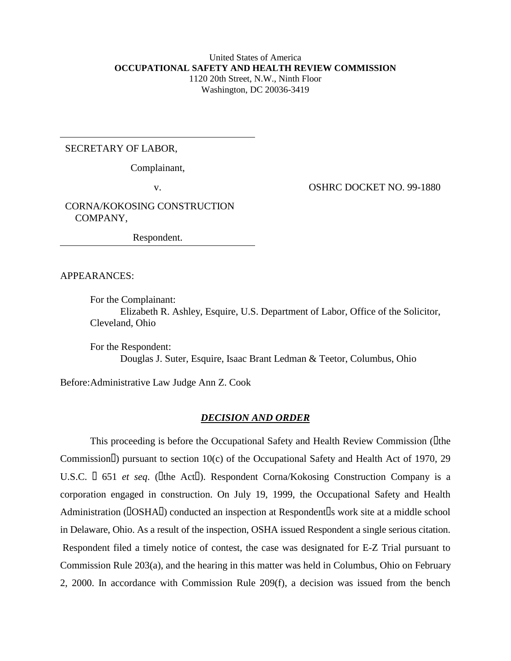### United States of America **OCCUPATIONAL SAFETY AND HEALTH REVIEW COMMISSION** 1120 20th Street, N.W., Ninth Floor Washington, DC 20036-3419

# SECRETARY OF LABOR,

Complainant,

v. OSHRC DOCKET NO. 99-1880

CORNA/KOKOSING CONSTRUCTION COMPANY,

Respondent.

APPEARANCES:

For the Complainant: Elizabeth R. Ashley, Esquire, U.S. Department of Labor, Office of the Solicitor, Cleveland, Ohio

For the Respondent: Douglas J. Suter, Esquire, Isaac Brant Ledman & Teetor, Columbus, Ohio

Before:Administrative Law Judge Ann Z. Cook

### *DECISION AND ORDER*

This proceeding is before the Occupational Safety and Health Review Commission (Letheral Commission<sup>[]</sup>) pursuant to section 10(c) of the Occupational Safety and Health Act of 1970, 29 U.S.C.  $\Box$  651 *et seq.* ( $\Box$ the Act $\Box$ ). Respondent Corna/Kokosing Construction Company is a corporation engaged in construction. On July 19, 1999, the Occupational Safety and Health Administration ( $\text{IOSHAI}$ ) conducted an inspection at Respondent  $\text{I}$ s work site at a middle school in Delaware, Ohio. As a result of the inspection, OSHA issued Respondent a single serious citation. Respondent filed a timely notice of contest, the case was designated for E-Z Trial pursuant to Commission Rule 203(a), and the hearing in this matter was held in Columbus, Ohio on February 2, 2000. In accordance with Commission Rule 209(f), a decision was issued from the bench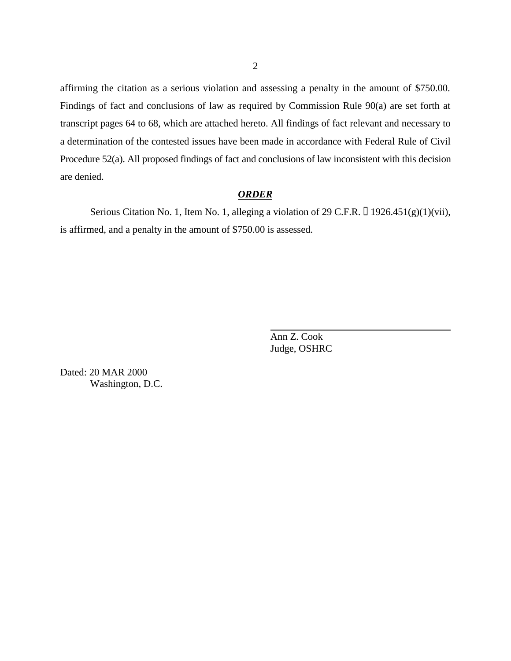affirming the citation as a serious violation and assessing a penalty in the amount of \$750.00. Findings of fact and conclusions of law as required by Commission Rule 90(a) are set forth at transcript pages 64 to 68, which are attached hereto. All findings of fact relevant and necessary to a determination of the contested issues have been made in accordance with Federal Rule of Civil Procedure 52(a). All proposed findings of fact and conclusions of law inconsistent with this decision are denied.

# *ORDER*

Serious Citation No. 1, Item No. 1, alleging a violation of 29 C.F.R.  $\Box$  1926.451(g)(1)(vii), is affirmed, and a penalty in the amount of \$750.00 is assessed.

> Ann Z. Cook Judge, OSHRC

Dated: 20 MAR 2000 Washington, D.C.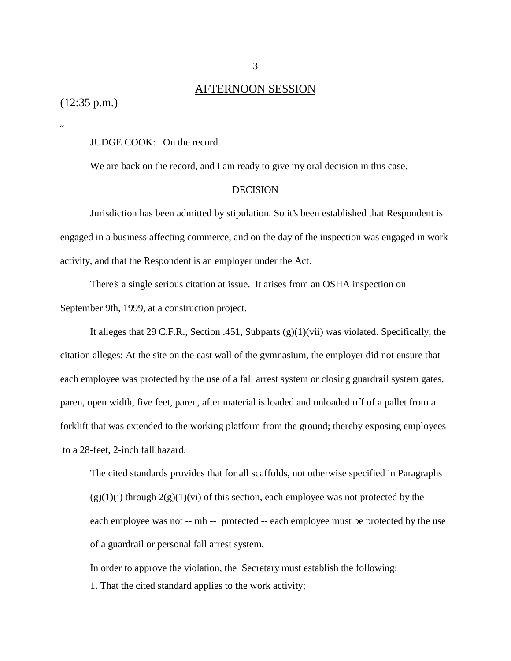# AFTERNOON SESSION

(12:35 p.m.)

˝

JUDGE COOK: On the record.

We are back on the record, and I am ready to give my oral decision in this case.

#### **DECISION**

Jurisdiction has been admitted by stipulation. So it's been established that Respondent is engaged in a business affecting commerce, and on the day of the inspection was engaged in work activity, and that the Respondent is an employer under the Act.

There's a single serious citation at issue. It arises from an OSHA inspection on September 9th, 1999, at a construction project.

It alleges that 29 C.F.R., Section .451, Subparts (g)(1)(vii) was violated. Specifically, the citation alleges: At the site on the east wall of the gymnasium, the employer did not ensure that each employee was protected by the use of a fall arrest system or closing guardrail system gates, paren, open width, five feet, paren, after material is loaded and unloaded off of a pallet from a forklift that was extended to the working platform from the ground; thereby exposing employees to a 28-feet, 2-inch fall hazard.

The cited standards provides that for all scaffolds, not otherwise specified in Paragraphs  $(g)(1)(i)$  through  $2(g)(1)(vi)$  of this section, each employee was not protected by the – each employee was not -- mh -- protected -- each employee must be protected by the use of a guardrail or personal fall arrest system.

 In order to approve the violation, the Secretary must establish the following: 1. That the cited standard applies to the work activity;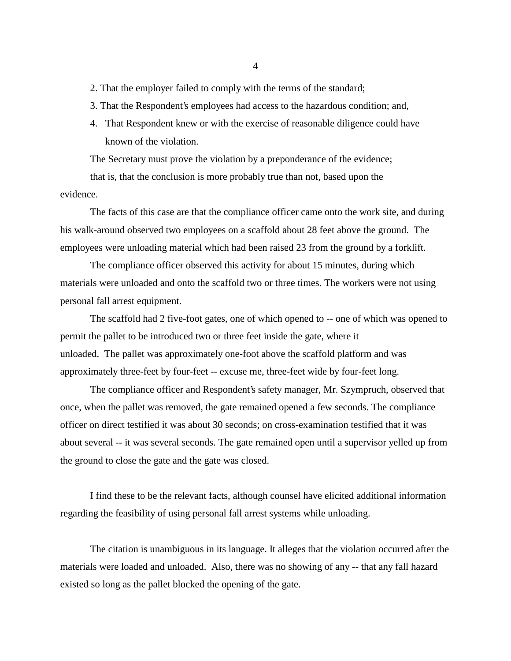- 2. That the employer failed to comply with the terms of the standard;
- 3. That the Respondent's employees had access to the hazardous condition; and,
- 4. That Respondent knew or with the exercise of reasonable diligence could have known of the violation.

The Secretary must prove the violation by a preponderance of the evidence;

that is, that the conclusion is more probably true than not, based upon the evidence.

The facts of this case are that the compliance officer came onto the work site, and during his walk-around observed two employees on a scaffold about 28 feet above the ground. The employees were unloading material which had been raised 23 from the ground by a forklift.

The compliance officer observed this activity for about 15 minutes, during which materials were unloaded and onto the scaffold two or three times. The workers were not using personal fall arrest equipment.

The scaffold had 2 five-foot gates, one of which opened to -- one of which was opened to permit the pallet to be introduced two or three feet inside the gate, where it unloaded. The pallet was approximately one-foot above the scaffold platform and was approximately three-feet by four-feet -- excuse me, three-feet wide by four-feet long.

The compliance officer and Respondent's safety manager, Mr. Szympruch, observed that once, when the pallet was removed, the gate remained opened a few seconds. The compliance officer on direct testified it was about 30 seconds; on cross-examination testified that it was about several -- it was several seconds. The gate remained open until a supervisor yelled up from the ground to close the gate and the gate was closed.

I find these to be the relevant facts, although counsel have elicited additional information regarding the feasibility of using personal fall arrest systems while unloading.

The citation is unambiguous in its language. It alleges that the violation occurred after the materials were loaded and unloaded. Also, there was no showing of any -- that any fall hazard existed so long as the pallet blocked the opening of the gate.

4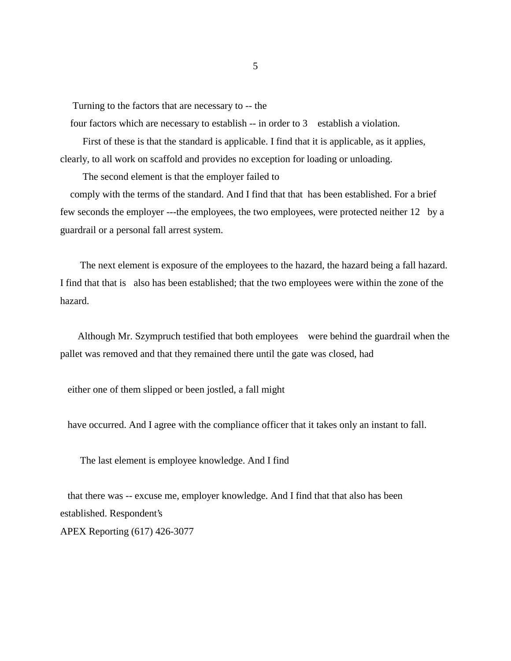Turning to the factors that are necessary to -- the

four factors which are necessary to establish -- in order to 3 establish a violation.

 First of these is that the standard is applicable. I find that it is applicable, as it applies, clearly, to all work on scaffold and provides no exception for loading or unloading.

The second element is that the employer failed to

 comply with the terms of the standard. And I find that that has been established. For a brief few seconds the employer ---the employees, the two employees, were protected neither 12 by a guardrail or a personal fall arrest system.

 The next element is exposure of the employees to the hazard, the hazard being a fall hazard. I find that that is also has been established; that the two employees were within the zone of the hazard.

 Although Mr. Szympruch testified that both employees were behind the guardrail when the pallet was removed and that they remained there until the gate was closed, had

either one of them slipped or been jostled, a fall might

have occurred. And I agree with the compliance officer that it takes only an instant to fall.

The last element is employee knowledge. And I find

 that there was -- excuse me, employer knowledge. And I find that that also has been established. Respondent's APEX Reporting (617) 426-3077